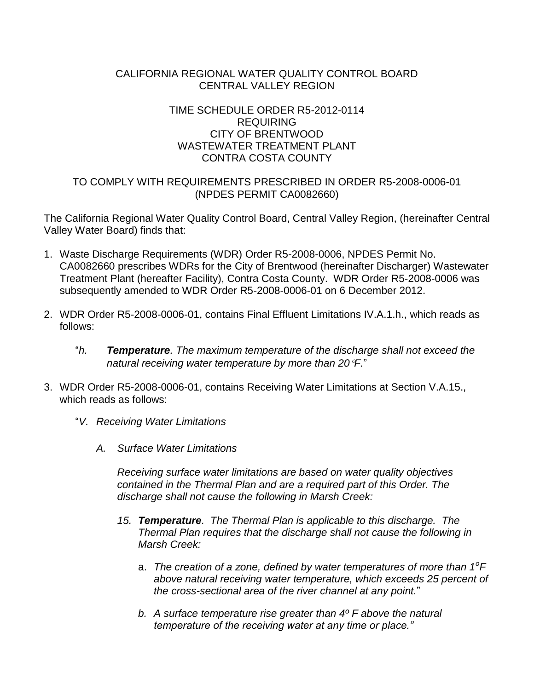## CALIFORNIA REGIONAL WATER QUALITY CONTROL BOARD CENTRAL VALLEY REGION

## TIME SCHEDULE ORDER R5-2012-0114 REQUIRING CITY OF BRENTWOOD WASTEWATER TREATMENT PLANT CONTRA COSTA COUNTY

# TO COMPLY WITH REQUIREMENTS PRESCRIBED IN ORDER R5-2008-0006-01 (NPDES PERMIT CA0082660)

The California Regional Water Quality Control Board, Central Valley Region, (hereinafter Central Valley Water Board) finds that:

- 1. Waste Discharge Requirements (WDR) Order R5-2008-0006, NPDES Permit No. CA0082660 prescribes WDRs for the City of Brentwood (hereinafter Discharger) Wastewater Treatment Plant (hereafter Facility), Contra Costa County. WDR Order R5-2008-0006 was subsequently amended to WDR Order R5-2008-0006-01 on 6 December 2012.
- 2. WDR Order R5-2008-0006-01, contains Final Effluent Limitations IV.A.1.h., which reads as follows:
	- "*h. Temperature. The maximum temperature of the discharge shall not exceed the natural receiving water temperature by more than 20F.*"
- 3. WDR Order R5-2008-0006-01, contains Receiving Water Limitations at Section V.A.15., which reads as follows:
	- "*V. Receiving Water Limitations*
		- *A. Surface Water Limitations*

*Receiving surface water limitations are based on water quality objectives contained in the Thermal Plan and are a required part of this Order. The discharge shall not cause the following in Marsh Creek:*

- *15. Temperature. The Thermal Plan is applicable to this discharge. The Thermal Plan requires that the discharge shall not cause the following in Marsh Creek:*
	- a. The creation of a zone, defined by water temperatures of more than 1<sup>o</sup>F *above natural receiving water temperature, which exceeds 25 percent of the cross-sectional area of the river channel at any point.*"
	- *b. A surface temperature rise greater than 4º F above the natural temperature of the receiving water at any time or place."*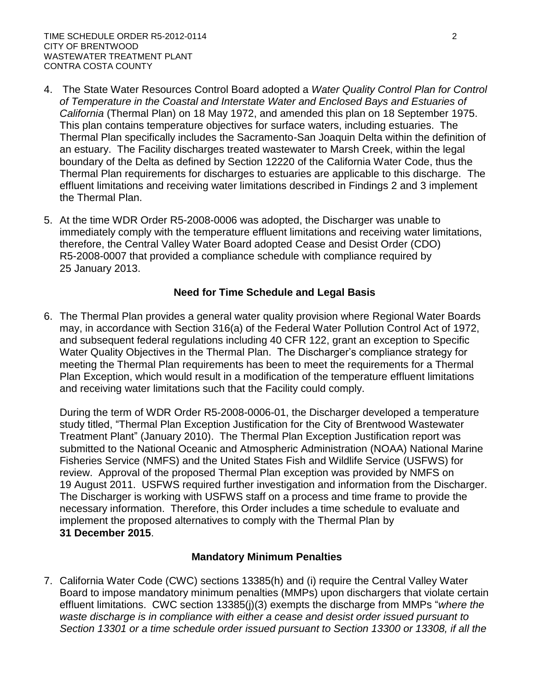- 4. The State Water Resources Control Board adopted a *Water Quality Control Plan for Control of Temperature in the Coastal and Interstate Water and Enclosed Bays and Estuaries of California* (Thermal Plan) on 18 May 1972, and amended this plan on 18 September 1975. This plan contains temperature objectives for surface waters, including estuaries. The Thermal Plan specifically includes the Sacramento-San Joaquin Delta within the definition of an estuary. The Facility discharges treated wastewater to Marsh Creek, within the legal boundary of the Delta as defined by Section 12220 of the California Water Code, thus the Thermal Plan requirements for discharges to estuaries are applicable to this discharge. The effluent limitations and receiving water limitations described in Findings 2 and 3 implement the Thermal Plan.
- 5. At the time WDR Order R5-2008-0006 was adopted, the Discharger was unable to immediately comply with the temperature effluent limitations and receiving water limitations, therefore, the Central Valley Water Board adopted Cease and Desist Order (CDO) R5-2008-0007 that provided a compliance schedule with compliance required by 25 January 2013.

#### **Need for Time Schedule and Legal Basis**

6. The Thermal Plan provides a general water quality provision where Regional Water Boards may, in accordance with Section 316(a) of the Federal Water Pollution Control Act of 1972, and subsequent federal regulations including 40 CFR 122, grant an exception to Specific Water Quality Objectives in the Thermal Plan. The Discharger's compliance strategy for meeting the Thermal Plan requirements has been to meet the requirements for a Thermal Plan Exception, which would result in a modification of the temperature effluent limitations and receiving water limitations such that the Facility could comply.

During the term of WDR Order R5-2008-0006-01, the Discharger developed a temperature study titled, "Thermal Plan Exception Justification for the City of Brentwood Wastewater Treatment Plant" (January 2010). The Thermal Plan Exception Justification report was submitted to the National Oceanic and Atmospheric Administration (NOAA) National Marine Fisheries Service (NMFS) and the United States Fish and Wildlife Service (USFWS) for review. Approval of the proposed Thermal Plan exception was provided by NMFS on 19 August 2011. USFWS required further investigation and information from the Discharger. The Discharger is working with USFWS staff on a process and time frame to provide the necessary information. Therefore, this Order includes a time schedule to evaluate and implement the proposed alternatives to comply with the Thermal Plan by **31 December 2015**.

## **Mandatory Minimum Penalties**

7. California Water Code (CWC) sections 13385(h) and (i) require the Central Valley Water Board to impose mandatory minimum penalties (MMPs) upon dischargers that violate certain effluent limitations. CWC section 13385(j)(3) exempts the discharge from MMPs "*where the waste discharge is in compliance with either a cease and desist order issued pursuant to Section 13301 or a time schedule order issued pursuant to Section 13300 or 13308, if all the*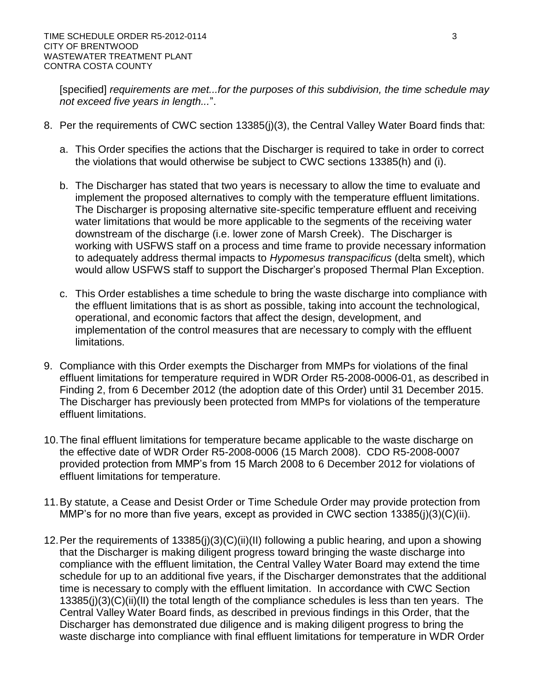[specified] *requirements are met...for the purposes of this subdivision, the time schedule may not exceed five years in length...*".

- 8. Per the requirements of CWC section 13385(j)(3), the Central Valley Water Board finds that:
	- a. This Order specifies the actions that the Discharger is required to take in order to correct the violations that would otherwise be subject to CWC sections 13385(h) and (i).
	- b. The Discharger has stated that two years is necessary to allow the time to evaluate and implement the proposed alternatives to comply with the temperature effluent limitations. The Discharger is proposing alternative site-specific temperature effluent and receiving water limitations that would be more applicable to the segments of the receiving water downstream of the discharge (i.e. lower zone of Marsh Creek). The Discharger is working with USFWS staff on a process and time frame to provide necessary information to adequately address thermal impacts to *Hypomesus transpacificus* (delta smelt), which would allow USFWS staff to support the Discharger's proposed Thermal Plan Exception.
	- c. This Order establishes a time schedule to bring the waste discharge into compliance with the effluent limitations that is as short as possible, taking into account the technological, operational, and economic factors that affect the design, development, and implementation of the control measures that are necessary to comply with the effluent limitations.
- 9. Compliance with this Order exempts the Discharger from MMPs for violations of the final effluent limitations for temperature required in WDR Order R5-2008-0006-01, as described in Finding 2, from 6 December 2012 (the adoption date of this Order) until 31 December 2015. The Discharger has previously been protected from MMPs for violations of the temperature effluent limitations.
- 10.The final effluent limitations for temperature became applicable to the waste discharge on the effective date of WDR Order R5-2008-0006 (15 March 2008). CDO R5-2008-0007 provided protection from MMP's from 15 March 2008 to 6 December 2012 for violations of effluent limitations for temperature.
- 11.By statute, a Cease and Desist Order or Time Schedule Order may provide protection from MMP's for no more than five years, except as provided in CWC section 13385(j)(3)(C)(ii).
- 12.Per the requirements of 13385(j)(3)(C)(ii)(II) following a public hearing, and upon a showing that the Discharger is making diligent progress toward bringing the waste discharge into compliance with the effluent limitation, the Central Valley Water Board may extend the time schedule for up to an additional five years, if the Discharger demonstrates that the additional time is necessary to comply with the effluent limitation. In accordance with CWC Section 13385(j)(3)(C)(ii)(lI) the total length of the compliance schedules is less than ten years. The Central Valley Water Board finds, as described in previous findings in this Order, that the Discharger has demonstrated due diligence and is making diligent progress to bring the waste discharge into compliance with final effluent limitations for temperature in WDR Order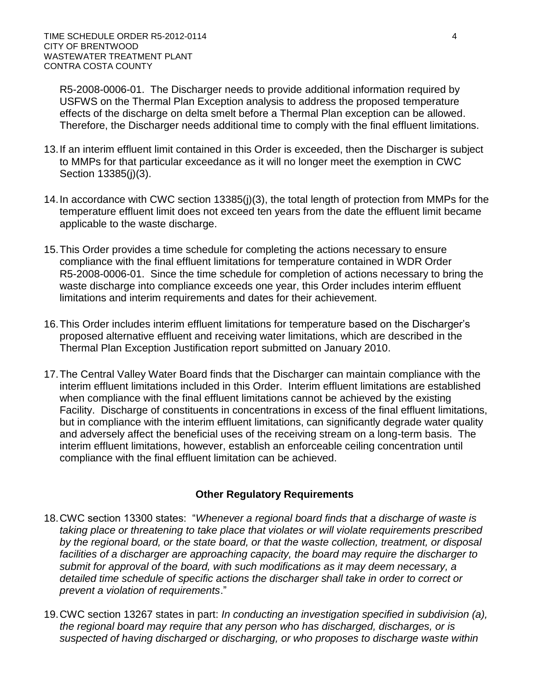R5-2008-0006-01. The Discharger needs to provide additional information required by USFWS on the Thermal Plan Exception analysis to address the proposed temperature effects of the discharge on delta smelt before a Thermal Plan exception can be allowed. Therefore, the Discharger needs additional time to comply with the final effluent limitations.

- 13.If an interim effluent limit contained in this Order is exceeded, then the Discharger is subject to MMPs for that particular exceedance as it will no longer meet the exemption in CWC Section 13385(j)(3).
- 14.In accordance with CWC section 13385(j)(3), the total length of protection from MMPs for the temperature effluent limit does not exceed ten years from the date the effluent limit became applicable to the waste discharge.
- 15.This Order provides a time schedule for completing the actions necessary to ensure compliance with the final effluent limitations for temperature contained in WDR Order R5-2008-0006-01. Since the time schedule for completion of actions necessary to bring the waste discharge into compliance exceeds one year, this Order includes interim effluent limitations and interim requirements and dates for their achievement.
- 16.This Order includes interim effluent limitations for temperature based on the Discharger's proposed alternative effluent and receiving water limitations, which are described in the Thermal Plan Exception Justification report submitted on January 2010.
- 17.The Central Valley Water Board finds that the Discharger can maintain compliance with the interim effluent limitations included in this Order. Interim effluent limitations are established when compliance with the final effluent limitations cannot be achieved by the existing Facility. Discharge of constituents in concentrations in excess of the final effluent limitations, but in compliance with the interim effluent limitations, can significantly degrade water quality and adversely affect the beneficial uses of the receiving stream on a long-term basis. The interim effluent limitations, however, establish an enforceable ceiling concentration until compliance with the final effluent limitation can be achieved.

## **Other Regulatory Requirements**

- 18.CWC section 13300 states: "*Whenever a regional board finds that a discharge of waste is taking place or threatening to take place that violates or will violate requirements prescribed by the regional board, or the state board, or that the waste collection, treatment, or disposal*  facilities of a discharger are approaching capacity, the board may require the discharger to *submit for approval of the board, with such modifications as it may deem necessary, a detailed time schedule of specific actions the discharger shall take in order to correct or prevent a violation of requirements*."
- 19.CWC section 13267 states in part: *In conducting an investigation specified in subdivision (a), the regional board may require that any person who has discharged, discharges, or is suspected of having discharged or discharging, or who proposes to discharge waste within*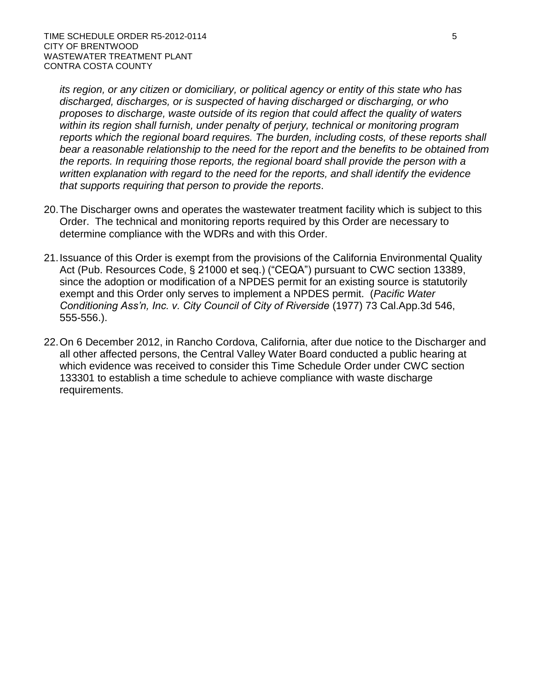*its region, or any citizen or domiciliary, or political agency or entity of this state who has discharged, discharges, or is suspected of having discharged or discharging, or who proposes to discharge, waste outside of its region that could affect the quality of waters within its region shall furnish, under penalty of perjury, technical or monitoring program reports which the regional board requires. The burden, including costs, of these reports shall bear a reasonable relationship to the need for the report and the benefits to be obtained from the reports. In requiring those reports, the regional board shall provide the person with a written explanation with regard to the need for the reports, and shall identify the evidence that supports requiring that person to provide the reports*.

- 20.The Discharger owns and operates the wastewater treatment facility which is subject to this Order. The technical and monitoring reports required by this Order are necessary to determine compliance with the WDRs and with this Order.
- 21.Issuance of this Order is exempt from the provisions of the California Environmental Quality Act (Pub. Resources Code, § 21000 et seq.) ("CEQA") pursuant to CWC section 13389, since the adoption or modification of a NPDES permit for an existing source is statutorily exempt and this Order only serves to implement a NPDES permit. (*Pacific Water Conditioning Ass'n, Inc. v. City Council of City of Riverside* (1977) 73 Cal.App.3d 546, 555-556.).
- 22.On 6 December 2012, in Rancho Cordova, California, after due notice to the Discharger and all other affected persons, the Central Valley Water Board conducted a public hearing at which evidence was received to consider this Time Schedule Order under CWC section 133301 to establish a time schedule to achieve compliance with waste discharge requirements.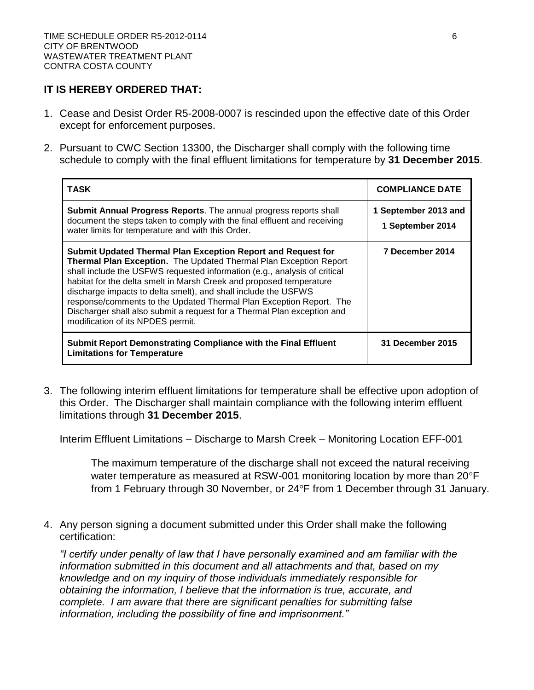#### **IT IS HEREBY ORDERED THAT:**

- 1. Cease and Desist Order R5-2008-0007 is rescinded upon the effective date of this Order except for enforcement purposes.
- 2. Pursuant to CWC Section 13300, the Discharger shall comply with the following time schedule to comply with the final effluent limitations for temperature by **31 December 2015**.

| <b>TASK</b>                                                                                                                                                                                                                                                                                                                                                                                                                                                                                                                                    | <b>COMPLIANCE DATE</b>                   |
|------------------------------------------------------------------------------------------------------------------------------------------------------------------------------------------------------------------------------------------------------------------------------------------------------------------------------------------------------------------------------------------------------------------------------------------------------------------------------------------------------------------------------------------------|------------------------------------------|
| <b>Submit Annual Progress Reports.</b> The annual progress reports shall<br>document the steps taken to comply with the final effluent and receiving<br>water limits for temperature and with this Order.                                                                                                                                                                                                                                                                                                                                      | 1 September 2013 and<br>1 September 2014 |
| Submit Updated Thermal Plan Exception Report and Request for<br>Thermal Plan Exception. The Updated Thermal Plan Exception Report<br>shall include the USFWS requested information (e.g., analysis of critical<br>habitat for the delta smelt in Marsh Creek and proposed temperature<br>discharge impacts to delta smelt), and shall include the USFWS<br>response/comments to the Updated Thermal Plan Exception Report. The<br>Discharger shall also submit a request for a Thermal Plan exception and<br>modification of its NPDES permit. | 7 December 2014                          |
| Submit Report Demonstrating Compliance with the Final Effluent<br><b>Limitations for Temperature</b>                                                                                                                                                                                                                                                                                                                                                                                                                                           | <b>31 December 2015</b>                  |

3. The following interim effluent limitations for temperature shall be effective upon adoption of this Order. The Discharger shall maintain compliance with the following interim effluent limitations through **31 December 2015**.

Interim Effluent Limitations – Discharge to Marsh Creek – Monitoring Location EFF-001

The maximum temperature of the discharge shall not exceed the natural receiving water temperature as measured at RSW-001 monitoring location by more than  $20^{\circ}F$ from 1 February through 30 November, or 24°F from 1 December through 31 January.

4. Any person signing a document submitted under this Order shall make the following certification:

*"I certify under penalty of law that I have personally examined and am familiar with the information submitted in this document and all attachments and that, based on my knowledge and on my inquiry of those individuals immediately responsible for obtaining the information, I believe that the information is true, accurate, and complete. I am aware that there are significant penalties for submitting false information, including the possibility of fine and imprisonment."*